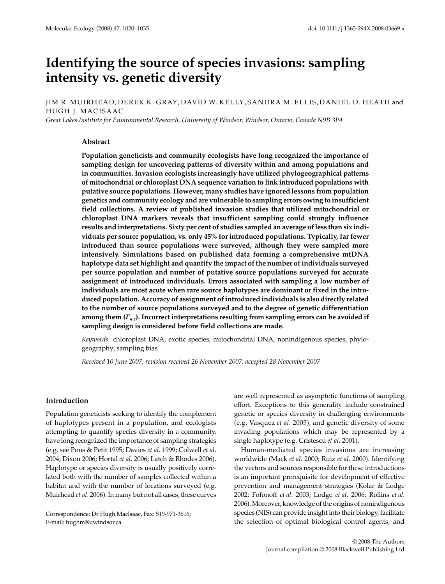# Identifying the source of species invasions: sampling **intensity vs. genetic diversity**

JIM R. MUIRHEAD, DEREK K. GRAY, DAVID W. KELLY, SANDRA M. ELLIS, DANIEL D. HEATH and HUGH J. MACISAAC

*Great Lakes Institute for Environmental Research, University of Windsor, Windsor, Ontario, Canada N9B 3P4*

#### **Abstract**

**Population geneticists and community ecologists have long recognized the importance of sampling design for uncovering patterns of diversity within and among populations and in communities. Invasion ecologists increasingly have utilized phylogeographical patterns of mitochondrial or chloroplast DNA sequence variation to link introduced populations with putative source populations. However, many studies have ignored lessons from population genetics and community ecology and are vulnerable to sampling errors owing to insufficient field collections. A review of published invasion studies that utilized mitochondrial or chloroplast DNA markers reveals that insufficient sampling could strongly influence results and interpretations. Sixty per cent of studies sampled an average of less than six individuals per source population, vs. only 45% for introduced populations. Typically, far fewer introduced than source populations were surveyed, although they were sampled more intensively. Simulations based on published data forming a comprehensive mtDNA haplotype data set highlight and quantify the impact of the number of individuals surveyed per source population and number of putative source populations surveyed for accurate assignment of introduced individuals. Errors associated with sampling a low number of individuals are most acute when rare source haplotypes are dominant or fixed in the introduced population. Accuracy of assignment of introduced individuals is also directly related to the number of source populations surveyed and to the degree of genetic differentiation** among them  $(F_{ST})$ . Incorrect interpretations resulting from sampling errors can be avoided if **sampling design is considered before field collections are made.**

*Keywords*: chloroplast DNA, exotic species, mitochondrial DNA, nonindigenous species, phylogeography, sampling bias

*Received 10 June 2007; revision received 26 November 2007; accepted 28 November 2007*

#### **Introduction**

Population geneticists seeking to identify the complement of haplotypes present in a population, and ecologists attempting to quantify species diversity in a community, have long recognized the importance of sampling strategies (e.g. see Pons & Petit 1995; Davies *et al*. 1999; Colwell *et al*. 2004; Dixon 2006; Hortal *et al*. 2006; Latch & Rhodes 2006). Haplotype or species diversity is usually positively correlated both with the number of samples collected within a habitat and with the number of locations surveyed (e.g. Muirhead *et al*. 2006). In many but not all cases, these curves

Correspondence: Dr Hugh Maclsaac, Fax: 519-971-3616; E-mail: hughm@uwindsor.ca

are well represented as asymptotic functions of sampling effort. Exceptions to this generality include constrained genetic or species diversity in challenging environments (e.g. Vasquez *et al*. 2005), and genetic diversity of some invading populations which may be represented by a single haplotype (e.g. Cristescu *et al*. 2001).

Human-mediated species invasions are increasing worldwide (Mack *et al*. 2000; Ruiz *et al*. 2000). Identifying the vectors and sources responsible for these introductions is an important prerequisite for development of effective prevention and management strategies (Kolar & Lodge 2002; Fofonoff *et al*. 2003; Lodge *et al*. 2006; Rollins *et al*. 2006). Moreover, knowledge of the origins of nonindigenous species (NIS) can provide insight into their biology, facilitate the selection of optimal biological control agents, and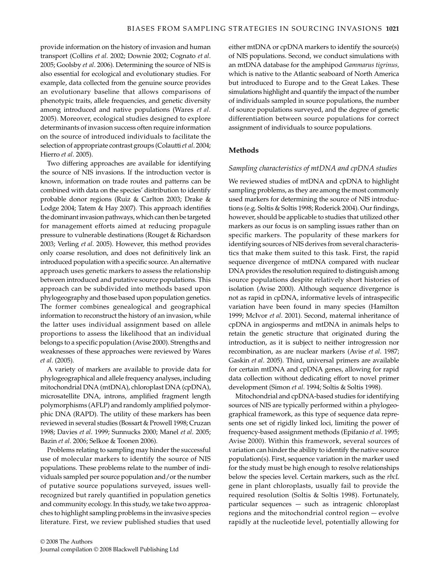provide information on the history of invasion and human transport (Collins *et al*. 2002; Downie 2002; Cognato *et al*. 2005; Goolsby *et al*. 2006). Determining the source of NIS is also essential for ecological and evolutionary studies. For example, data collected from the genuine source provides an evolutionary baseline that allows comparisons of phenotypic traits, allele frequencies, and genetic diversity among introduced and native populations (Wares *et al*. 2005). Moreover, ecological studies designed to explore determinants of invasion success often require information on the source of introduced individuals to facilitate the selection of appropriate contrast groups (Colautti *et al*. 2004; Hierro *et al*. 2005).

Two differing approaches are available for identifying the source of NIS invasions. If the introduction vector is known, information on trade routes and patterns can be combined with data on the species' distribution to identify probable donor regions (Ruiz & Carlton 2003; Drake & Lodge 2004; Tatem & Hay 2007). This approach identifies the dominant invasion pathways, which can then be targeted for management efforts aimed at reducing propagule pressure to vulnerable destinations (Rouget & Richardson 2003; Verling *et al*. 2005). However, this method provides only coarse resolution, and does not definitively link an introduced population with a specific source. An alternative approach uses genetic markers to assess the relationship between introduced and putative source populations. This approach can be subdivided into methods based upon phylogeography and those based upon population genetics. The former combines genealogical and geographical information to reconstruct the history of an invasion, while the latter uses individual assignment based on allele proportions to assess the likelihood that an individual belongs to a specific population (Avise 2000). Strengths and weaknesses of these approaches were reviewed by Wares *et al*. (2005).

A variety of markers are available to provide data for phylogeographical and allele frequency analyses, including mitochondrial DNA (mtDNA), chloroplast DNA (cpDNA), microsatellite DNA, introns, amplified fragment length polymorphisms (AFLP) and randomly amplified polymorphic DNA (RAPD). The utility of these markers has been reviewed in several studies (Bossart & Prowell 1998; Cruzan 1998; Davies *et al*. 1999; Sunnucks 2000; Manel *et al*. 2005; Bazin *et al*. 2006; Selkoe & Toonen 2006).

Problems relating to sampling may hinder the successful use of molecular markers to identify the source of NIS populations. These problems relate to the number of individuals sampled per source population and/or the number of putative source populations surveyed, issues wellrecognized but rarely quantified in population genetics and community ecology. In this study, we take two approaches to highlight sampling problems in the invasive species literature. First, we review published studies that used

either mtDNA or cpDNA markers to identify the source(s) of NIS populations. Second, we conduct simulations with an mtDNA database for the amphipod *Gammarus tigrinus,* which is native to the Atlantic seaboard of North America but introduced to Europe and to the Great Lakes. These simulations highlight and quantify the impact of the number of individuals sampled in source populations, the number of source populations surveyed, and the degree of genetic differentiation between source populations for correct assignment of individuals to source populations.

### **Methods**

#### *Sampling characteristics of mtDNA and cpDNA studies*

We reviewed studies of mtDNA and cpDNA to highlight sampling problems, as they are among the most commonly used markers for determining the source of NIS introductions (e.g. Soltis & Soltis 1998; Roderick 2004). Our findings, however, should be applicable to studies that utilized other markers as our focus is on sampling issues rather than on specific markers. The popularity of these markers for identifying sources of NIS derives from several characteristics that make them suited to this task. First, the rapid sequence divergence of mtDNA compared with nuclear DNA provides the resolution required to distinguish among source populations despite relatively short histories of isolation (Avise 2000). Although sequence divergence is not as rapid in cpDNA, informative levels of intraspecific variation have been found in many species (Hamilton 1999; McIvor *et al*. 2001). Second, maternal inheritance of cpDNA in angiosperms and mtDNA in animals helps to retain the genetic structure that originated during the introduction, as it is subject to neither introgression nor recombination, as are nuclear markers (Avise *et al*. 1987; Gaskin *et al*. 2005). Third, universal primers are available for certain mtDNA and cpDNA genes, allowing for rapid data collection without dedicating effort to novel primer development (Simon *et al*. 1994; Soltis & Soltis 1998).

Mitochondrial and cpDNA-based studies for identifying sources of NIS are typically performed within a phylogeographical framework, as this type of sequence data represents one set of rigidly linked loci, limiting the power of frequency-based assignment methods (Epifanio *et al*. 1995; Avise 2000). Within this framework, several sources of variation can hinder the ability to identify the native source population(s). First, sequence variation in the marker used for the study must be high enough to resolve relationships below the species level. Certain markers, such as the *rbcL* gene in plant chloroplasts, usually fail to provide the required resolution (Soltis & Soltis 1998). Fortunately, particular sequences — such as intragenic chloroplast regions and the mitochondrial control region — evolve rapidly at the nucleotide level, potentially allowing for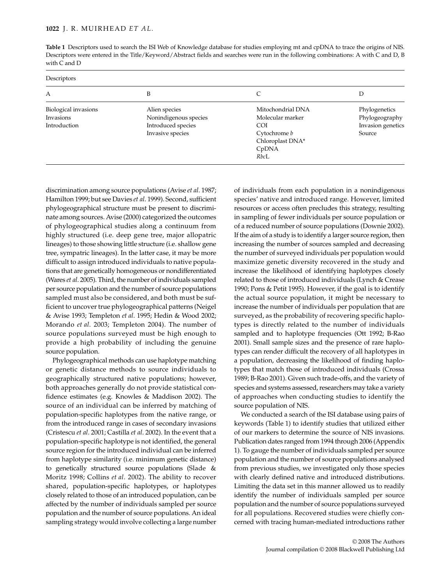**Table 1** Descriptors used to search the ISI Web of Knowledge database for studies employing mt and cpDNA to trace the origins of NIS. Descriptors were entered in the Title/Keyword/Abstract fields and searches were run in the following combinations: A with C and D, B with C and D

| Descriptors          |                       |                   |                   |  |  |
|----------------------|-----------------------|-------------------|-------------------|--|--|
| $\mathbf{A}$         | B                     | C                 | D                 |  |  |
| Biological invasions | Alien species         | Mitochondrial DNA | Phylogenetics     |  |  |
| Invasions            | Nonindigenous species | Molecular marker  | Phylogeography    |  |  |
| Introduction         | Introduced species    | <b>COI</b>        | Invasion genetics |  |  |
|                      | Invasive species      | Cytochrome b      | Source            |  |  |
|                      |                       | Chloroplast DNA*  |                   |  |  |
|                      |                       | CpDNA             |                   |  |  |
|                      |                       | RbcL              |                   |  |  |
|                      |                       |                   |                   |  |  |

discrimination among source populations (Avise *et al*. 1987; Hamilton 1999; but see Davies *et al*. 1999). Second, sufficient phylogeographical structure must be present to discriminate among sources. Avise (2000) categorized the outcomes of phylogeographical studies along a continuum from highly structured (i.e. deep gene tree, major allopatric lineages) to those showing little structure (i.e. shallow gene tree, sympatric lineages). In the latter case, it may be more difficult to assign introduced individuals to native populations that are genetically homogeneous or nondifferentiated (Wares *et al*. 2005). Third, the number of individuals sampled per source population and the number of source populations sampled must also be considered, and both must be sufficient to uncover true phylogeographical patterns (Neigel & Avise 1993; Templeton *et al*. 1995; Hedin & Wood 2002; Morando *et al*. 2003; Templeton 2004). The number of source populations surveyed must be high enough to provide a high probability of including the genuine source population.

Phylogeographical methods can use haplotype matching or genetic distance methods to source individuals to geographically structured native populations; however, both approaches generally do not provide statistical confidence estimates (e.g. Knowles & Maddison 2002). The source of an individual can be inferred by matching of population-specific haplotypes from the native range, or from the introduced range in cases of secondary invasions (Cristescu *et al*. 2001; Castilla *et al*. 2002). In the event that a population-specific haplotype is not identified, the general source region for the introduced individual can be inferred from haplotype similarity (i.e. minimum genetic distance) to genetically structured source populations (Slade & Moritz 1998; Collins *et al*. 2002). The ability to recover shared, population-specific haplotypes, or haplotypes closely related to those of an introduced population, can be affected by the number of individuals sampled per source population and the number of source populations. An ideal sampling strategy would involve collecting a large number of individuals from each population in a nonindigenous species' native and introduced range. However, limited resources or access often precludes this strategy, resulting in sampling of fewer individuals per source population or of a reduced number of source populations (Downie 2002). If the aim of a study is to identify a larger source region, then increasing the number of sources sampled and decreasing the number of surveyed individuals per population would maximize genetic diversity recovered in the study and increase the likelihood of identifying haplotypes closely related to those of introduced individuals (Lynch & Crease 1990; Pons & Petit 1995). However, if the goal is to identify the actual source population, it might be necessary to increase the number of individuals per population that are surveyed, as the probability of recovering specific haplotypes is directly related to the number of individuals sampled and to haplotype frequencies (Ott 1992; B-Rao 2001). Small sample sizes and the presence of rare haplotypes can render difficult the recovery of all haplotypes in a population, decreasing the likelihood of finding haplotypes that match those of introduced individuals (Crossa 1989; B-Rao 2001). Given such trade-offs, and the variety of species and systems assessed, researchers may take a variety of approaches when conducting studies to identify the source population of NIS.

We conducted a search of the ISI database using pairs of keywords (Table 1) to identify studies that utilized either of our markers to determine the source of NIS invasions. Publication dates ranged from 1994 through 2006 (Appendix 1). To gauge the number of individuals sampled per source population and the number of source populations analysed from previous studies, we investigated only those species with clearly defined native and introduced distributions. Limiting the data set in this manner allowed us to readily identify the number of individuals sampled per source population and the number of source populations surveyed for all populations. Recovered studies were chiefly concerned with tracing human-mediated introductions rather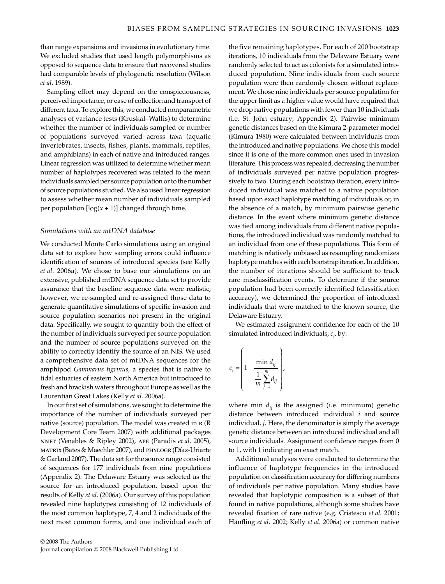than range expansions and invasions in evolutionary time. We excluded studies that used length polymorphisms as opposed to sequence data to ensure that recovered studies had comparable levels of phylogenetic resolution (Wilson *et al*. 1989).

Sampling effort may depend on the conspicuousness, perceived importance, or ease of collection and transport of different taxa. To explore this, we conducted nonparametric analyses of variance tests (Kruskal–Wallis) to determine whether the number of individuals sampled or number of populations surveyed varied across taxa (aquatic invertebrates, insects, fishes, plants, mammals, reptiles, and amphibians) in each of native and introduced ranges. Linear regression was utilized to determine whether mean number of haplotypes recovered was related to the mean individuals sampled per source population or to the number of source populations studied. We also used linear regression to assess whether mean number of individuals sampled per population  $\log(x + 1)$ ] changed through time.

#### *Simulations with an mtDNA database*

We conducted Monte Carlo simulations using an original data set to explore how sampling errors could influence identification of sources of introduced species (see Kelly *et al*. 2006a). We chose to base our simulations on an extensive, published mtDNA sequence data set to provide assurance that the baseline sequence data were realistic; however, we re-sampled and re-assigned those data to generate quantitative simulations of specific invasion and source population scenarios not present in the original data. Specifically, we sought to quantify both the effect of the number of individuals surveyed per source population and the number of source populations surveyed on the ability to correctly identify the source of an NIS. We used a comprehensive data set of mtDNA sequences for the amphipod *Gammarus tigrinus*, a species that is native to tidal estuaries of eastern North America but introduced to fresh and brackish waters throughout Europe as well as the Laurentian Great Lakes (Kelly *et al*. 2006a).

In our first set of simulations, we sought to determine the importance of the number of individuals surveyed per native (source) population. The model was created in r (R Development Core Team 2007) with additional packages nnet (Venables & Ripley 2002), ape (Paradis *et al*. 2005), matrix (Bates & Maechler 2007), and phylogr (Díaz-Uriarte & Garland 2007). The data set for the source range consisted of sequences for 177 individuals from nine populations (Appendix 2). The Delaware Estuary was selected as the source for an introduced population, based upon the results of Kelly *et al*. (2006a). Our survey of this population revealed nine haplotypes consisting of 12 individuals of the most common haplotype, 7, 4 and 2 individuals of the next most common forms, and one individual each of

the five remaining haplotypes. For each of 200 bootstrap iterations, 10 individuals from the Delaware Estuary were randomly selected to act as colonists for a simulated introduced population. Nine individuals from each source population were then randomly chosen without replacement. We chose nine individuals per source population for the upper limit as a higher value would have required that we drop native populations with fewer than 10 individuals (i.e. St. John estuary; Appendix 2). Pairwise minimum genetic distances based on the Kimura 2-parameter model (Kimura 1980) were calculated between individuals from the introduced and native populations. We chose this model since it is one of the more common ones used in invasion literature. This process was repeated, decreasing the number of individuals surveyed per native population progressively to two. During each bootstrap iteration, every introduced individual was matched to a native population based upon exact haplotype matching of individuals or, in the absence of a match, by minimum pairwise genetic distance. In the event where minimum genetic distance was tied among individuals from different native populations, the introduced individual was randomly matched to an individual from one of these populations. This form of matching is relatively unbiased as resampling randomizes haplotype matches with each bootstrap iteration. In addition, the number of iterations should be sufficient to track rare misclassification events. To determine if the source population had been correctly identified (classification accuracy), we determined the proportion of introduced individuals that were matched to the known source, the Delaware Estuary.

We estimated assignment confidence for each of the 10 simulated introduced individuals, *ci* , by:

$$
c_i = \left(1 - \frac{\min d_{ij}}{\frac{1}{m} \sum_{j=1}^{m} d_{ij}}\right),
$$

where min  $d_{ij}$  is the assigned (i.e. minimum) genetic distance between introduced individual *i* and source individual*, j*. Here, the denominator is simply the average genetic distance between an introduced individual and all source individuals. Assignment confidence ranges from 0 to 1, with 1 indicating an exact match.

Additional analyses were conducted to determine the influence of haplotype frequencies in the introduced population on classification accuracy for differing numbers of individuals per native population. Many studies have revealed that haplotypic composition is a subset of that found in native populations, although some studies have revealed fixation of rare native (e.g. Cristescu *et al*. 2001; Hänfling *et al*. 2002; Kelly *et al*. 2006a) or common native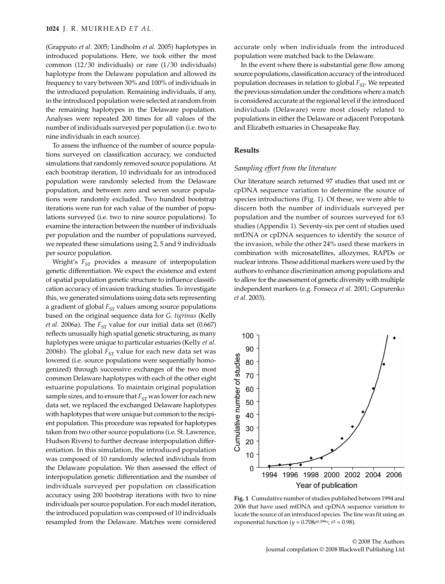(Grapputo *et al*. 2005; Lindholm *et al*. 2005) haplotypes in introduced populations. Here, we took either the most common (12/30 individuals) or rare (1/30 individuals) haplotype from the Delaware population and allowed its frequency to vary between 30% and 100% of individuals in the introduced population. Remaining individuals, if any, in the introduced population were selected at random from the remaining haplotypes in the Delaware population. Analyses were repeated 200 times for all values of the number of individuals surveyed per population (i.e. two to nine individuals in each source).

To assess the influence of the number of source populations surveyed on classification accuracy, we conducted simulations that randomly removed source populations. At each bootstrap iteration, 10 individuals for an introduced population were randomly selected from the Delaware population, and between zero and seven source populations were randomly excluded. Two hundred bootstrap iterations were run for each value of the number of populations surveyed (i.e. two to nine source populations). To examine the interaction between the number of individuals per population and the number of populations surveyed, we repeated these simulations using 2, 5 and 9 individuals per source population.

Wright's  $F_{ST}$  provides a measure of interpopulation genetic differentiation. We expect the existence and extent of spatial population genetic structure to influence classification accuracy of invasion tracking studies. To investigate this, we generated simulations using data sets representing a gradient of global  $F_{ST}$  values among source populations based on the original sequence data for *G. tigrinus* (Kelly *et al.* 2006a). The  $F_{ST}$  value for our initial data set (0.667) reflects unusually high spatial genetic structuring, as many haplotypes were unique to particular estuaries (Kelly *et al*. 2006b). The global  $F_{ST}$  value for each new data set was lowered (i.e. source populations were sequentially homogenized) through successive exchanges of the two most common Delaware haplotypes with each of the other eight estuarine populations. To maintain original population sample sizes, and to ensure that  $F_{ST}$  was lower for each new data set, we replaced the exchanged Delaware haplotypes with haplotypes that were unique but common to the recipient population. This procedure was repeated for haplotypes taken from two other source populations (i.e. St. Lawrence, Hudson Rivers) to further decrease interpopulation differentiation. In this simulation, the introduced population was composed of 10 randomly selected individuals from the Delaware population. We then assessed the effect of interpopulation genetic differentiation and the number of individuals surveyed per population on classification accuracy using 200 bootstrap iterations with two to nine individuals per source population. For each model iteration, the introduced population was composed of 10 individuals resampled from the Delaware. Matches were considered accurate only when individuals from the introduced population were matched back to the Delaware.

In the event where there is substantial gene flow among source populations, classification accuracy of the introduced population decreases in relation to global  $F_{ST}$ . We repeated the previous simulation under the conditions where a match is considered accurate at the regional level if the introduced individuals (Delaware) were most closely related to populations in either the Delaware or adjacent Poropotank and Elizabeth estuaries in Chesapeake Bay.

#### **Results**

#### *Sampling effort from the literature*

Our literature search returned 97 studies that used mt or cpDNA sequence variation to determine the source of species introductions (Fig. 1). Of these, we were able to discern both the number of individuals surveyed per population and the number of sources surveyed for 63 studies (Appendix 1). Seventy-six per cent of studies used mtDNA or cpDNA sequences to identify the source of the invasion, while the other 24% used these markers in combination with microsatellites, allozymes, RAPDs or nuclear introns. These additional markers were used by the authors to enhance discrimination among populations and to allow for the assessment of genetic diversity with multiple independent markers (e.g. Fonseca *et al*. 2001; Gopurenko *et al*. 2003).



**Fig. 1** Cumulative number of studies published between 1994 and 2006 that have used mtDNA and cpDNA sequence variation to locate the source of an introduced species. The line was fit using an exponential function ( $y = 0.708e^{0.399x}$ ;  $r^2 = 0.98$ ).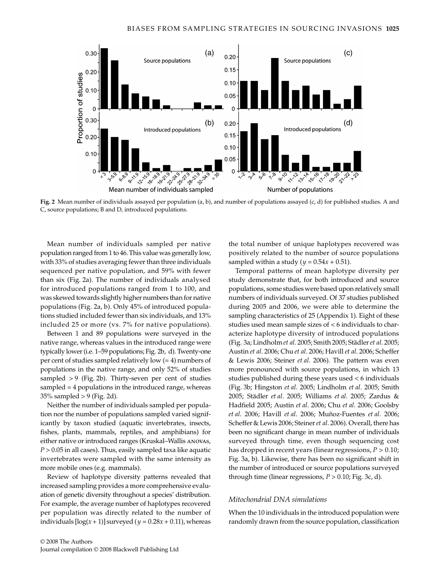

**Fig. 2** Mean number of individuals assayed per population (a, b), and number of populations assayed (c, d) for published studies. A and C, source populations; B and D, introduced populations.

Mean number of individuals sampled per native population ranged from 1 to 46. This value was generally low, with 33% of studies averaging fewer than three individuals sequenced per native population, and 59% with fewer than six (Fig. 2a). The number of individuals analysed for introduced populations ranged from 1 to 100, and was skewed towards slightly higher numbers than for native populations (Fig. 2a, b). Only 45% of introduced populations studied included fewer than six individuals, and 13% included 25 or more (vs. 7% for native populations).

Between 1 and 89 populations were surveyed in the native range, whereas values in the introduced range were typically lower (i.e. 1–59 populations; Fig. 2b, d). Twenty-one per cent of studies sampled relatively low (= 4) numbers of populations in the native range, and only 52% of studies sampled > 9 (Fig. 2b). Thirty-seven per cent of studies sampled = 4 populations in the introduced range, whereas 35% sampled > 9 (Fig. 2d).

Neither the number of individuals sampled per population nor the number of populations sampled varied significantly by taxon studied (aquatic invertebrates, insects, fishes, plants, mammals, reptiles, and amphibians) for either native or introduced ranges (Kruskal–Wallis anovas, *P* > 0.05 in all cases). Thus, easily sampled taxa like aquatic invertebrates were sampled with the same intensity as more mobile ones (e.g. mammals).

Review of haplotype diversity patterns revealed that increased sampling provides a more comprehensive evaluation of genetic diversity throughout a species' distribution. For example, the average number of haplotypes recovered per population was directly related to the number of individuals  $\lceil \log(x+1) \rceil$  surveyed ( $y = 0.28x + 0.11$ ), whereas

the total number of unique haplotypes recovered was positively related to the number of source populations sampled within a study ( $y = 0.54x + 0.51$ ).

Temporal patterns of mean haplotype diversity per study demonstrate that, for both introduced and source populations, some studies were based upon relatively small numbers of individuals surveyed. Of 37 studies published during 2005 and 2006, we were able to determine the sampling characteristics of 25 (Appendix 1). Eight of these studies used mean sample sizes of < 6 individuals to characterize haplotype diversity of introduced populations (Fig. 3a; Lindholm *et al*. 2005; Smith 2005; Städler *et al*. 2005; Austin *et al*. 2006; Chu *et al*. 2006; Havill *et al*. 2006; Scheffer & Lewis 2006; Steiner *et al*. 2006). The pattern was even more pronounced with source populations, in which 13 studies published during these years used < 6 individuals (Fig. 3b; Hingston *et al*. 2005; Lindholm *et al*. 2005; Smith 2005; Städler *et al*. 2005; Williams *et al*. 2005; Zardus & Hadfield 2005; Austin *et al*. 2006; Chu *et al*. 2006; Goolsby *et al*. 2006; Havill *et al*. 2006; Muñoz-Fuentes *et al*. 2006; Scheffer & Lewis 2006; Steiner *et al*. 2006). Overall, there has been no significant change in mean number of individuals surveyed through time, even though sequencing cost has dropped in recent years (linear regressions, *P* > 0.10; Fig. 3a, b). Likewise, there has been no significant shift in the number of introduced or source populations surveyed through time (linear regressions, *P* > 0.10; Fig. 3c, d).

#### *Mitochondrial DNA simulations*

When the 10 individuals in the introduced population were randomly drawn from the source population, classification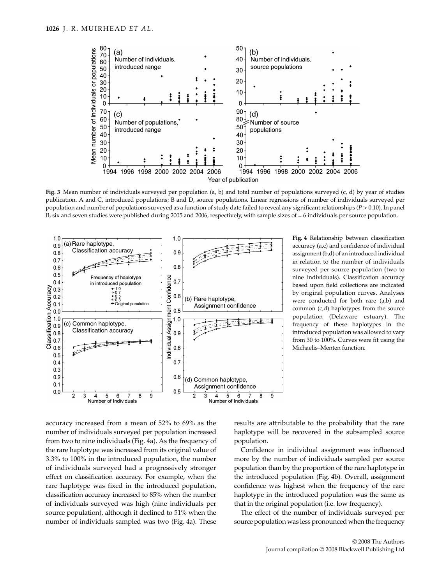

**Fig. 3** Mean number of individuals surveyed per population (a, b) and total number of populations surveyed (c, d) by year of studies publication. A and C, introduced populations; B and D, source populations. Linear regressions of number of individuals surveyed per population and number of populations surveyed as a function of study date failed to reveal any significant relationships (*P* > 0.10). In panel B, six and seven studies were published during 2005 and 2006, respectively, with sample sizes of = 6 individuals per source population.



**Fig. 4** Relationship between classification accuracy (a,c) and confidence of individual assignment (b,d) of an introduced individual in relation to the number of individuals surveyed per source population (two to nine individuals). Classification accuracy based upon field collections are indicated by original population curves. Analyses were conducted for both rare (a,b) and common (c,d) haplotypes from the source population (Delaware estuary). The frequency of these haplotypes in the introduced population was allowed to vary from 30 to 100%. Curves were fit using the Michaelis–Menten function.

accuracy increased from a mean of 52% to 69% as the number of individuals surveyed per population increased from two to nine individuals (Fig. 4a). As the frequency of the rare haplotype was increased from its original value of 3.3% to 100% in the introduced population, the number of individuals surveyed had a progressively stronger effect on classification accuracy. For example, when the rare haplotype was fixed in the introduced population, classification accuracy increased to 85% when the number of individuals surveyed was high (nine individuals per source population), although it declined to 51% when the number of individuals sampled was two (Fig. 4a). These results are attributable to the probability that the rare haplotype will be recovered in the subsampled source population.

Confidence in individual assignment was influenced more by the number of individuals sampled per source population than by the proportion of the rare haplotype in the introduced population (Fig. 4b). Overall, assignment confidence was highest when the frequency of the rare haplotype in the introduced population was the same as that in the original population (i.e. low frequency).

The effect of the number of individuals surveyed per source population was less pronounced when the frequency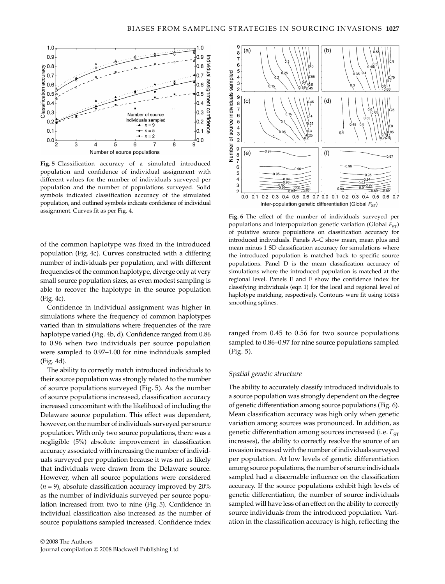

**Fig. 5** Classification accuracy of a simulated introduced population and confidence of individual assignment with different values for the number of individuals surveyed per population and the number of populations surveyed. Solid symbols indicated classification accuracy of the simulated population, and outlined symbols indicate confidence of individual

of the common haplotype was fixed in the introduced population (Fig. 4c). Curves constructed with a differing number of individuals per population, and with different frequencies of the common haplotype, diverge only at very small source population sizes, as even modest sampling is able to recover the haplotype in the source population (Fig. 4c).

Confidence in individual assignment was higher in simulations where the frequency of common haplotypes varied than in simulations where frequencies of the rare haplotype varied (Fig. 4b, d). Confidence ranged from 0.86 to 0.96 when two individuals per source population were sampled to 0.97–1.00 for nine individuals sampled (Fig. 4d).

The ability to correctly match introduced individuals to their source population was strongly related to the number of source populations surveyed (Fig. 5). As the number of source populations increased, classification accuracy increased concomitant with the likelihood of including the Delaware source population. This effect was dependent, however, on the number of individuals surveyed per source population. With only two source populations, there was a negligible (5%) absolute improvement in classification accuracy associated with increasing the number of individuals surveyed per population because it was not as likely that individuals were drawn from the Delaware source. However, when all source populations were considered  $(n = 9)$ , absolute classification accuracy improved by 20% as the number of individuals surveyed per source population increased from two to nine (Fig. 5). Confidence in individual classification also increased as the number of source populations sampled increased. Confidence index



assignment. Curves fit as per Fig. 4. **Fig. 6** The effect of the number of individuals surveyed per populations and interpopulation genetic variation (Global  $F_{ST}$ ) of putative source populations on classification accuracy for introduced individuals. Panels A–C show mean, mean plus and mean minus 1 SD classification accuracy for simulations where the introduced population is matched back to specific source populations. Panel D is the mean classification accuracy of simulations where the introduced population is matched at the regional level. Panels E and F show the confidence index for classifying individuals (eqn 1) for the local and regional level of haplotype matching, respectively. Contours were fit using LOESS smoothing splines.

ranged from 0.45 to 0.56 for two source populations sampled to 0.86–0.97 for nine source populations sampled (Fig. 5).

#### *Spatial genetic structure*

The ability to accurately classify introduced individuals to a source population was strongly dependent on the degree of genetic differentiation among source populations (Fig. 6). Mean classification accuracy was high only when genetic variation among sources was pronounced. In addition, as genetic differentiation among sources increased (i.e.  $F_{ST}$ ) increases), the ability to correctly resolve the source of an invasion increased with the number of individuals surveyed per population. At low levels of genetic differentiation among source populations, the number of source individuals sampled had a discernable influence on the classification accuracy. If the source populations exhibit high levels of genetic differentiation, the number of source individuals sampled will have less of an effect on the ability to correctly source individuals from the introduced population. Variation in the classification accuracy is high, reflecting the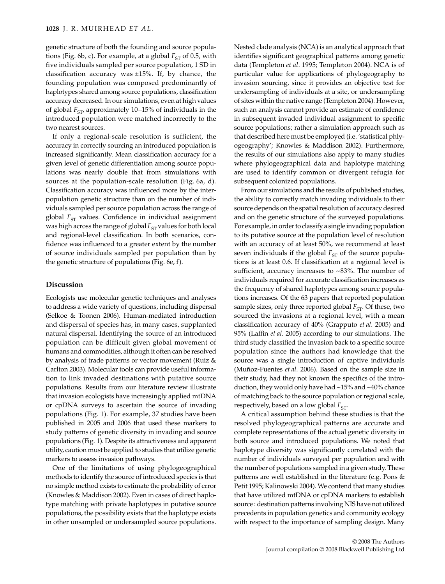genetic structure of both the founding and source populations (Fig. 6b, c). For example, at a global  $F_{ST}$  of 0.5, with five individuals sampled per source population, 1 SD in classification accuracy was  $\pm 15$ %. If, by chance, the founding population was composed predominantly of haplotypes shared among source populations, classification accuracy decreased. In our simulations, even at high values of global  $F_{ST}$ , approximately 10–15% of individuals in the introduced population were matched incorrectly to the two nearest sources.

If only a regional-scale resolution is sufficient, the accuracy in correctly sourcing an introduced population is increased significantly. Mean classification accuracy for a given level of genetic differentiation among source populations was nearly double that from simulations with sources at the population-scale resolution (Fig. 6a, d). Classification accuracy was influenced more by the interpopulation genetic structure than on the number of individuals sampled per source population across the range of global *F<sub>ST</sub>* values. Confidence in individual assignment was high across the range of global  $F_{ST}$  values for both local and regional-level classification. In both scenarios, confidence was influenced to a greater extent by the number of source individuals sampled per population than by the genetic structure of populations (Fig. 6e, f).

#### **Discussion**

Ecologists use molecular genetic techniques and analyses to address a wide variety of questions, including dispersal (Selkoe & Toonen 2006). Human-mediated introduction and dispersal of species has, in many cases, supplanted natural dispersal. Identifying the source of an introduced population can be difficult given global movement of humans and commodities, although it often can be resolved by analysis of trade patterns or vector movement (Ruiz & Carlton 2003). Molecular tools can provide useful information to link invaded destinations with putative source populations. Results from our literature review illustrate that invasion ecologists have increasingly applied mtDNA or cpDNA surveys to ascertain the source of invading populations (Fig. 1). For example, 37 studies have been published in 2005 and 2006 that used these markers to study patterns of genetic diversity in invading and source populations (Fig. 1). Despite its attractiveness and apparent utility, caution must be applied to studies that utilize genetic markers to assess invasion pathways.

One of the limitations of using phylogeographical methods to identify the source of introduced species is that no simple method exists to estimate the probability of error (Knowles & Maddison 2002). Even in cases of direct haplotype matching with private haplotypes in putative source populations, the possibility exists that the haplotype exists in other unsampled or undersampled source populations. Nested clade analysis (NCA) is an analytical approach that identifies significant geographical patterns among genetic data (Templeton *et al*. 1995; Templeton 2004). NCA is of particular value for applications of phylogeography to invasion sourcing, since it provides an objective test for undersampling of individuals at a site, or undersampling of sites within the native range (Templeton 2004). However, such an analysis cannot provide an estimate of confidence in subsequent invaded individual assignment to specific source populations; rather a simulation approach such as that described here must be employed (i.e. 'statistical phlyogeography'; Knowles & Maddison 2002). Furthermore, the results of our simulations also apply to many studies where phylogeographical data and haplotype matching are used to identify common or divergent refugia for subsequent colonized populations.

From our simulations and the results of published studies, the ability to correctly match invading individuals to their source depends on the spatial resolution of accuracy desired and on the genetic structure of the surveyed populations. For example, in order to classify a single invading population to its putative source at the population level of resolution with an accuracy of at least 50%, we recommend at least seven individuals if the global  $F_{ST}$  of the source populations is at least 0.6. If classification at a regional level is sufficient, accuracy increases to ~83%. The number of individuals required for accurate classification increases as the frequency of shared haplotypes among source populations increases. Of the 63 papers that reported population sample sizes, only three reported global  $F_{ST}$ . Of these, two sourced the invasions at a regional level, with a mean classification accuracy of 40% (Grapputo *et al*. 2005) and 95% (Laffin *et al*. 2005) according to our simulations. The third study classified the invasion back to a specific source population since the authors had knowledge that the source was a single introduction of captive individuals (Muñoz-Fuentes *et al*. 2006). Based on the sample size in their study, had they not known the specifics of the introduction, they would only have had ~15% and ~40% chance of matching back to the source population or regional scale, respectively, based on a low global  $F_{ST}$ .

A critical assumption behind these studies is that the resolved phylogeographical patterns are accurate and complete representations of the actual genetic diversity in both source and introduced populations. We noted that haplotype diversity was significantly correlated with the number of individuals surveyed per population and with the number of populations sampled in a given study. These patterns are well established in the literature (e.g. Pons & Petit 1995; Kalinowski 2004). We contend that many studies that have utilized mtDNA or cpDNA markers to establish source : destination patterns involving NIS have not utilized precedents in population genetics and community ecology with respect to the importance of sampling design. Many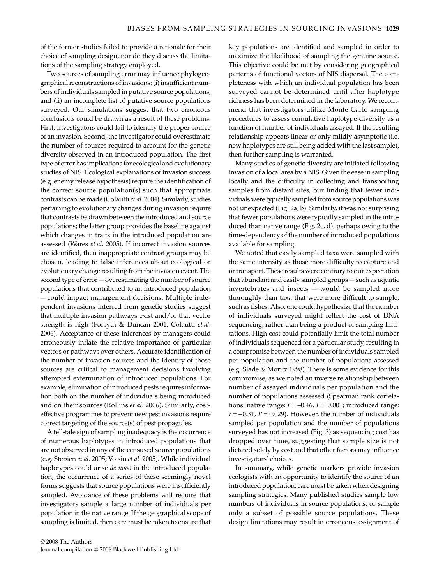of the former studies failed to provide a rationale for their choice of sampling design, nor do they discuss the limitations of the sampling strategy employed.

Two sources of sampling error may influence phylogeographical reconstructions of invasions: (i) insufficient numbers of individuals sampled in putative source populations; and (ii) an incomplete list of putative source populations surveyed. Our simulations suggest that two erroneous conclusions could be drawn as a result of these problems. First, investigators could fail to identify the proper source of an invasion. Second, the investigator could overestimate the number of sources required to account for the genetic diversity observed in an introduced population. The first type of error has implications for ecological and evolutionary studies of NIS. Ecological explanations of invasion success (e.g. enemy release hypothesis) require the identification of the correct source population(s) such that appropriate contrasts can be made (Colautti *et al*. 2004). Similarly, studies pertaining to evolutionary changes during invasion require that contrasts be drawn between the introduced and source populations; the latter group provides the baseline against which changes in traits in the introduced population are assessed (Wares *et al*. 2005). If incorrect invasion sources are identified, then inappropriate contrast groups may be chosen, leading to false inferences about ecological or evolutionary change resulting from the invasion event. The second type of error — overestimating the number of source populations that contributed to an introduced population — could impact management decisions. Multiple independent invasions inferred from genetic studies suggest that multiple invasion pathways exist and/or that vector strength is high (Forsyth & Duncan 2001; Colautti *et al*. 2006). Acceptance of these inferences by managers could erroneously inflate the relative importance of particular vectors or pathways over others. Accurate identification of the number of invasion sources and the identity of those sources are critical to management decisions involving attempted extermination of introduced populations. For example, elimination of introduced pests requires information both on the number of individuals being introduced and on their sources (Rollins *et al*. 2006). Similarly, costeffective programmes to prevent new pest invasions require correct targeting of the source(s) of pest propagules.

A tell-tale sign of sampling inadequacy is the occurrence of numerous haplotypes in introduced populations that are not observed in any of the censused source populations (e.g. Stepien *et al*. 2005; Voisin *et al*. 2005). While individual haplotypes could arise *de novo* in the introduced population, the occurrence of a series of these seemingly novel forms suggests that source populations were insufficiently sampled. Avoidance of these problems will require that investigators sample a large number of individuals per population in the native range. If the geographical scope of sampling is limited, then care must be taken to ensure that key populations are identified and sampled in order to maximize the likelihood of sampling the genuine source. This objective could be met by considering geographical patterns of functional vectors of NIS dispersal. The completeness with which an individual population has been surveyed cannot be determined until after haplotype richness has been determined in the laboratory. We recommend that investigators utilize Monte Carlo sampling procedures to assess cumulative haplotype diversity as a function of number of individuals assayed. If the resulting relationship appears linear or only mildly asymptotic (i.e. new haplotypes are still being added with the last sample), then further sampling is warranted.

Many studies of genetic diversity are initiated following invasion of a local area by a NIS. Given the ease in sampling locally and the difficulty in collecting and transporting samples from distant sites, our finding that fewer individuals were typically sampled from source populations was not unexpected (Fig. 2a, b). Similarly, it was not surprising that fewer populations were typically sampled in the introduced than native range (Fig. 2c, d), perhaps owing to the time-dependency of the number of introduced populations available for sampling.

We noted that easily sampled taxa were sampled with the same intensity as those more difficulty to capture and or transport. These results were contrary to our expectation that abundant and easily sampled groups — such as aquatic invertebrates and insects — would be sampled more thoroughly than taxa that were more difficult to sample, such as fishes. Also, one could hypothesize that the number of individuals surveyed might reflect the cost of DNA sequencing, rather than being a product of sampling limitations. High cost could potentially limit the total number of individuals sequenced for a particular study, resulting in a compromise between the number of individuals sampled per population and the number of populations assessed (e.g. Slade & Moritz 1998). There is some evidence for this compromise, as we noted an inverse relationship between number of assayed individuals per population and the number of populations assessed (Spearman rank correlations: native range:  $r = -0.46$ ,  $P = 0.001$ ; introduced range:  $r = -0.31$ ,  $P = 0.029$ ). However, the number of individuals sampled per population and the number of populations surveyed has not increased (Fig. 3) as sequencing cost has dropped over time, suggesting that sample size is not dictated solely by cost and that other factors may influence investigators' choices.

In summary, while genetic markers provide invasion ecologists with an opportunity to identify the source of an introduced population, care must be taken when designing sampling strategies. Many published studies sample low numbers of individuals in source populations, or sample only a subset of possible source populations. These design limitations may result in erroneous assignment of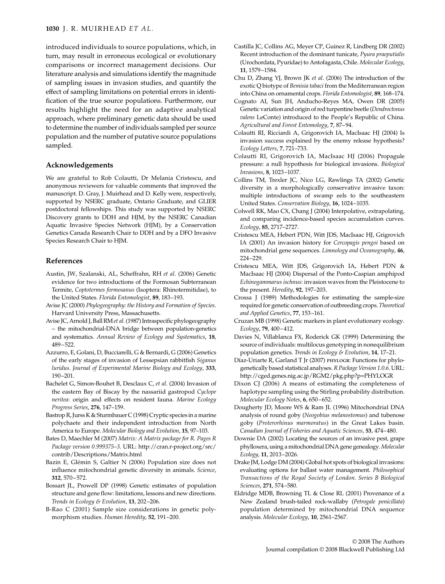introduced individuals to source populations, which, in turn, may result in erroneous ecological or evolutionary comparisons or incorrect management decisions. Our literature analysis and simulations identify the magnitude of sampling issues in invasion studies, and quantify the effect of sampling limitations on potential errors in identification of the true source populations. Furthermore, our results highlight the need for an adaptive analytical approach, where preliminary genetic data should be used to determine the number of individuals sampled per source population and the number of putative source populations sampled.

#### **Acknowledgements**

We are grateful to Rob Colautti, Dr Melania Cristescu, and anonymous reviewers for valuable comments that improved the manuscript. D. Gray, J. Muirhead and D. Kelly were, respectively, supported by NSERC graduate, Ontario Graduate, and GLIER postdoctoral fellowships. This study was supported by NSERC Discovery grants to DDH and HJM, by the NSERC Canadian Aquatic Invasive Species Network (HJM), by a Conservation Genetics Canada Research Chair to DDH and by a DFO Invasive Species Research Chair to HJM.

#### **References**

- Austin, JW, Szalanski, AL, Scheffrahn, RH *et al*. (2006) Genetic evidence for two introductions of the Formosan Subterranean Termite, *Coptotermes formosanus* (Isoptera: Rhinotermitidae), to the United States. *Florida Entomologist*, **89**, 183–193.
- Avise JC (2000) *Phylogeography: the History and Formation of Species*. Harvard University Press, Massachusetts.
- Avise JC, Arnold J, Ball RM *et al*. (1987) Intraspecific phylogeography — the mitochondrial-DNA bridge between population-genetics and systematics. *Annual Review of Ecology and Systematics*, **18**, 489–522.
- Azzurro, E, Golani, D, Bucciarelli, G & Bernardi, G (2006) Genetics of the early stages of invasion of Lessepsian rabbitfish *Siganus luridus*. *Journal of Experimental Marine Biology and Ecology*, **333**, 190–201.
- Bachelet G, Simon-Bouhet B, Desclaux C, *et al*. (2004) Invasion of the eastern Bay of Biscay by the nassariid gastropod *Cyclope neritea*: origin and effects on resident fauna. *Marine Ecology Progress Series*, **276**, 147–159.
- Bastrop R, Jurss K & Sturmbauer C (1998) Cryptic species in a marine polychaete and their independent introduction from North America to Europe. *Molecular Biology and Evolution*, **15**, 97–103.
- Bates D, Maechler M (2007) *Matrix: A Matrix package for R. Pages R Package version 0.999375–3*[. URL: http://cran.r-project.org/src/](http://cran.r-project.org/src/contrib/Descriptions/Matrix.html) contrib/Descriptions/Matrix.html
- Bazin E, Glémin S, Galtier N (2006) Population size does not influence mitochondrial genetic diversity in animals. *Science*, **312**, 570–572.
- Bossart JL, Prowell DP (1998) Genetic estimates of population structure and gene flow: limitations, lessons and new directions. *Trends in Ecology & Evolution*, **13**, 202–206.
- B-Rao C (2001) Sample size considerations in genetic polymorphism studies. *Human Heredity*, **52**, 191–200.
- Castilla JC, Collins AG, Meyer CP, Guinez R, Lindberg DR (2002) Recent introduction of the dominant tunicate, *Pyura praeputialis* (Urochordata, Pyuridae) to Antofagasta, Chile. *Molecular Ecology*, **11**, 1579–1584.
- Chu D, Zhang YJ, Brown JK *et al*. (2006) The introduction of the exotic Q biotype of *Bemisia tabaci* from the Mediterranean region into China on ornamental crops. *Florida Entomologist*, **89**, 168–174.
- Cognato AI, Sun JH, Anducho-Reyes MA, Owen DR (2005) Genetic variation and origin of red turpentine beetle (*Dendroctonus valens* LeConte) introduced to the People's Republic of China. *Agricultural and Forest Entomology*, **7**, 87–94.
- Colautti RI, Ricciardi A, Grigorovich IA, MacIsaac HJ (2004) Is invasion success explained by the enemy release hypothesis? *Ecology Letters*, **7**, 721–733.
- Colautti RI, Grigorovich IA, MacIsaac HJ (2006) Propagule pressure: a null hypothesis for biological invasions. *Biological Invasions*, **8**, 1023–1037.
- Collins TM, Trexler JC, Nico LG, Rawlings TA (2002) Genetic diversity in a morphologically conservative invasive taxon: multiple introductions of swamp eels to the southeastern United States. *Conservation Biology*, **16**, 1024–1035.
- Colwell RK, Mao CX, Chang J (2004) Interpolative, extrapolating, and comparing incidence-based species accumulation curves. *Ecology*, **85**, 2717–2727.
- Cristescu MEA, Hebert PDN, Witt JDS, MacIsaac HJ, Grigrovich IA (2001) An invasion history for *Cercopagis pengoi* based on mitochondrial gene sequences. *Limnology and Oceanography*, **46**, 224–229.
- Cristescu MEA, Witt JDS, Grigorovich IA, Hebert PDN & MacIsaac HJ (2004) Dispersal of the Ponto-Caspian amphipod *Echinogammarus ischnus*: invasion waves from the Pleistocene to the present. *Heredity*, **92**, 197–203.
- Crossa J (1989) Methodologies for estimating the sample-size required for genetic conservation of outbreeding crops. *Theoretical and Applied Genetics*, **77**, 153–161.
- Cruzan MB (1998) Genetic markers in plant evolutionary ecology. *Ecology*, **79**, 400–412.
- Davies N, Villablanca FX, Roderick GK (1999) Determining the source of individuals: multilocus genotyping in nonequilibrium population genetics. *Trends in Ecology & Evolution*, **14**, 17–21.
- Díaz-Uriarte R, Garland T Jr (2007) PHYLOGR: Functions for phylogenetically based statistical analyses. *R Package Version 1.0.6*. URL: <http://cged.genes.nig.ac.jp/RGM2/pkg.php?p=PHYLOGR>
- Dixon CJ (2006) A means of estimating the completeness of haplotype sampling using the Stirling probability distribution. *Molecular Ecology Notes*, **6**, 650–652.
- Dougherty JD, Moore WS & Ram JL (1996) Mitochondrial DNA analysis of round goby (*Neogobius melanostomus*) and tubenose goby (*Proterorhinus marmoratus*) in the Great Lakes basin. *Canadian Journal of Fisheries and Aquatic Sciences*, **53**, 474–480.
- Downie DA (2002) Locating the sources of an invasive pest, grape phylloxera, using a mitochondrial DNA gene genealogy. *Molecular Ecology*, **11**, 2013–2026.
- Drake JM, Lodge DM (2004) Global hot spots of biological invasions: evaluating options for ballast water management. *Philosophical Transactions of the Royal Society of London. Series B Biological Sciences*, **271**, 574–580.
- Eldridge MDB, Browning TL & Close RL (2001) Provenance of a New Zealand brush-tailed rock-wallaby (*Petrogale penicillata*) population determined by mitochondrial DNA sequence analysis. *Molecular Ecology*, **10**, 2561–2567.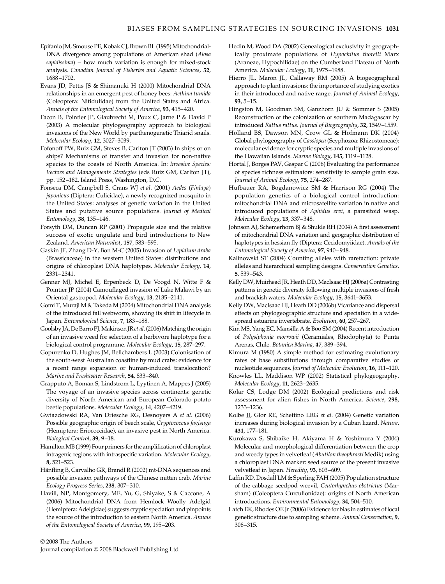- Epifanio JM, Smouse PE, Kobak CJ, Brown BL (1995) Mitochondrial-DNA divergence among populations of American shad (*Alosa sapidissima*) — how much variation is enough for mixed-stock analysis. *Canadian Journal of Fisheries and Aquatic Sciences*, **52**, 1688–1702.
- Evans JD, Pettis JS & Shimanuki H (2000) Mitochondrial DNA relationships in an emergent pest of honey bees: *Aethina tumida* (Coleoptera: Nitidulidae) from the United States and Africa. *Annals of the Entomological Society of America*, **93**, 415–420.
- Facon B, Pointier JP, Glaubrecht M, Poux C, Jarne P & David P (2003) A molecular phylogeography approach to biological invasions of the New World by parthenogenetic Thiarid snails. *Molecular Ecology*, **12**, 3027–3039.
- Fofonoff PW, Ruiz GM, Steves B, Carlton JT (2003) In ships or on ships? Mechanisms of transfer and invasion for non-native species to the coasts of North America. In: *Invasive Species: Vectors and Managements Strategies* (eds Ruiz GM, Carlton JT), pp. 152–182. Island Press, Washington, D.C.
- Fonseca DM, Campbell S, Crans WJ *et al*. (2001) *Aedes* (*Finlaya*) *japonicus* (Diptera: Culicidae), a newly recognized mosquito in the United States: analyses of genetic variation in the United States and putative source populations. *Journal of Medical Entomology*, **38**, 135–146.
- Forsyth DM, Duncan RP (2001) Propagule size and the relative success of exotic ungulate and bird introductions to New Zealand. *American Naturalist*, **157**, 583–595.
- Gaskin JF, Zhang D-Y, Bon M-C (2005) Invasion of *Lepidium draba* (Brassicaceae) in the western United States: distributions and origins of chloroplast DNA haplotypes. *Molecular Ecology*, **14**, 2331–2341.
- Genner MJ, Michel E, Erpenbeck D, De Voogd N, Witte F & Pointier JP (2004) Camouflaged invasion of Lake Malawi by an Oriental gastropod. *Molecular Ecology*, **13**, 2135–2141.
- Gomi T, Muraji M & Takeda M (2004) Mitochondrial DNA analysis of the introduced fall webworm, showing its shift in lifecycle in Japan. *Entomological Science*, **7**, 183–188.
- Goolsby JA, De Barro PJ, Makinson JR *et al*. (2006) Matching the origin of an invasive weed for selection of a herbivore haplotype for a biological control programme. *Molecular Ecology*, **15**, 287–297.
- Gopurenko D, Hughes JM, Bellchambers L (2003) Colonisation of the south-west Australian coastline by mud crabs: evidence for a recent range expansion or human-induced translocation? *Marine and Freshwater Research*, **54**, 833–840.
- Grapputo A, Boman S, Lindstrom L, Lyytinen A, Mappes J (2005) The voyage of an invasive species across continents: genetic diversity of North American and European Colorado potato beetle populations. *Molecular Ecology*, **14**, 4207–4219.
- Gwiazdowski RA, Van Driesche RG, Desnoyers A *et al*. (2006) Possible geographic origin of beech scale, *Cryptococcus fagisuga* (Hemiptera: Eriococcidae), an invasive pest in North America. *Biological Control*, **39**, 9–18.
- Hamilton MB (1999) Four primers for the amplification of chloroplast intragenic regions with intraspecific variation. *Molecular Ecology*, **8**, 521–523.
- Hänfling B, Carvalho GR, Brandl R (2002) mt-DNA sequences and possible invasion pathways of the Chinese mitten crab. *Marine Ecology Progress Series*, **238**, 307–310.
- Havill, NP, Montgomery, ME, Yu, G, Shiyake, S & Caccone, A (2006) Mitochondrial DNA from Hemlock Woolly Adelgid (Hemiptera: Adelgidae) suggests cryptic speciation and pinpoints the source of the introduction to eastern North America. *Annals of the Entomological Society of America*, **99**, 195–203.

© 2008 The Authors

Journal compilation © 2008 Blackwell Publishing Ltd

- Hedin M, Wood DA (2002) Genealogical exclusivity in geographically proximate populations of *Hypochilus thorelli* Marx (Araneae, Hypochilidae) on the Cumberland Plateau of North America. *Molecular Ecology*, **11**, 1975–1988.
- Hierro JL, Maron JL, Callaway RM (2005) A biogeographical approach to plant invasions: the importance of studying exotics in their introduced and native range. *Journal of Animal Ecology*, **93**, 5–15.
- Hingston M, Goodman SM, Ganzhorn JU & Sommer S (2005) Reconstruction of the colonization of southern Madagascar by introduced *Rattus rattus*. *Journal of Biogeography*, **32**, 1549–1559.
- Holland BS, Dawson MN, Crow GL & Hofmann DK (2004) Global phylogeography of *Cassiopea* (Scyphozoa: Rhizostomeae): molecular evidence for cryptic species and multiple invasions of the Hawaiian Islands. *Marine Biology*, **145**, 1119–1128.
- Hortal J, Borges PAV, Gaspar C (2006) Evaluating the performance of species richness estimators: sensitivity to sample grain size. *Journal of Animal Ecology*, **75**, 274–287.
- Hufbauer RA, Bogdanowicz SM & Harrison RG (2004) The population genetics of a biological control introduction: mitochondrial DNA and microsatellite variation in native and introduced populations of *Aphidus ervi*, a parasitoid wasp. *Molecular Ecology*, **13**, 337–348.
- Johnson AJ, Schemerhorn BJ & Shukle RH (2004) A first assessment of mitochondrial DNA variation and geographic distribution of haplotypes in hessian fly (Diptera: Cecidomyiidae). *Annals of the Entomological Society of America*, **97**, 940–948.
- Kalinowski ST (2004) Counting alleles with rarefaction: private alleles and hierarchical sampling designs. *Conservation Genetics*, **5**, 539–543.
- Kelly DW, Muirhead JR, Heath DD, MacIsaac HJ (2006a) Contrasting patterns in genetic diversity following multiple invasions of fresh and brackish waters. *Molecular Ecology*, **15**, 3641–3653.
- Kelly DW, MacIsaac HJ, Heath DD (2006b) Vicariance and dispersal effects on phylogeographic structure and speciation in a widespread estuarine invertebrate. *Evolution*, **60**, 257–267.
- Kim MS, Yang EC, Mansilla A & Boo SM (2004) Recent introduction of *Polysiphonia morrowii* (Ceramiales, Rhodophyta) to Punta Arenas, Chile. *Botanica Marina*, **47**, 389–394.
- Kimura M (1980) A simple method for estimating evolutionary rates of base substitutions through comparative studies of nucleotide sequences. *Journal of Molecular Evolution*, **16**, 111–120.
- Knowles LL, Maddison WP (2002) Statistical phylogeography. *Molecular Ecology*, **11**, 2623–2635.
- Kolar CS, Lodge DM (2002) Ecological predictions and risk assessment for alien fishes in North America. *Science*, **298**, 1233–1236.
- Kolbe JJ, Glor RE, Schettino LRG *et al*. (2004) Genetic variation increases during biological invasion by a Cuban lizard. *Nature*, **431**, 177–181.
- Kurokawa S, Shibaike H, Akiyama H & Yoshimura Y (2004) Molecular and morphological differentiation between the crop and weedy types in velvetleaf (*Abutilon theophrasti* Medik) using a chloroplast DNA marker: seed source of the present invasive velvetleaf in Japan. *Heredity*, **93**, 603–609.
- Laffin RD, Dosdall LM & Sperling FAH (2005) Population structure of the cabbage seedpod weevil, *Ceutorhynchus obstrictus* (Marsham) (Coleoptera Curculionidae): origins of North American introductions. *Environmental Entomology*, **34**, 504–510.
- Latch EK, Rhodes OE Jr (2006) Evidence for bias in estimates of local genetic structure due to sampling scheme. *Animal Conservation*, **9**, 308–315.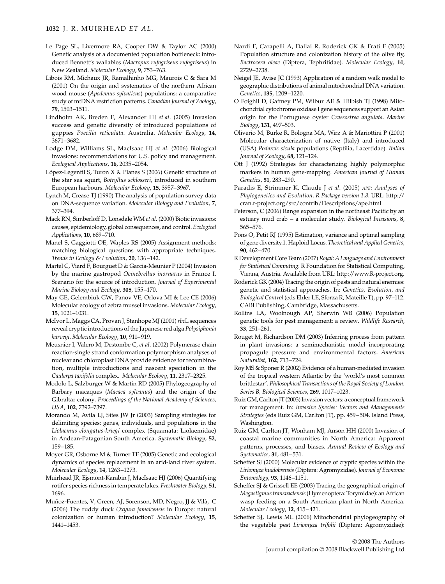#### **1032** J. R. MUIRHEAD *ET AL.*

- Le Page SL, Livermore RA, Cooper DW & Taylor AC (2000) Genetic analysis of a documented population bottleneck: introduced Bennett's wallabies (*Macropus rufogriseus rufogriseus*) in New Zealand. *Molecular Ecology*, **9**, 753–763.
- Libois RM, Michaux JR, Ramalhinho MG, Maurois C & Sara M (2001) On the origin and systematics of the northern African wood mouse (*Apodemus sylvaticus*) populations: a comparative study of mtDNA restriction patterns. *Canadian Journal of Zoology*, **79**, 1503–1511.
- Lindholm AK, Breden F, Alexander HJ *et al*. (2005) Invasion success and genetic diversity of introduced populations of guppies *Poecilia reticulata*. Australia. *Molecular Ecology*, **14**, 3671–3682.
- Lodge DM, Williams SL, MacIsaac HJ *et al*. (2006) Biological invasions: recommendations for U.S. policy and management. *Ecological Applications*, **16**, 2035–2054.
- López-Legentil S, Turon X & Planes S (2006) Genetic structure of the star sea squirt, *Botryllus schlosseri*, introduced in southern European harbours. *Molecular Ecology*, **15**, 3957–3967.
- Lynch M, Crease TJ (1990) The analysis of population survey data on DNA-sequence variation. *Molecular Biology and Evolution*, **7**, 377–394.
- Mack RN, Simberloff D, Lonsdale WM *et al*. (2000) Biotic invasions: causes, epidemiology, global consequences, and control. *Ecological Applications*, **10**, 689–710.
- Manel S, Gaggiotti OE, Waples RS (2005) Assignment methods: matching biological questions with appropriate techniques. *Trends in Ecology & Evolution*, **20**, 136–142.
- Martel C, Viard F, Bourguet D & Garcia-Meunier P (2004) Invasion by the marine gastropod *Ocinebrellus inornatus* in France I. Scenario for the source of introduction. *Journal of Experimental Marine Biology and Ecology*, **305**, 155–170.
- May GE, Gelembiuk GW, Panov VE, Orlova MI & Lee CE (2006) Molecular ecology of zebra mussel invasions. *Molecular Ecology*, **15**, 1021–1031.
- McIvor L, Maggs CA, Provan J, Stanhope MJ (2001) *rbc*L sequences reveal cryptic introductions of the Japanese red alga *Polysiphonia harveyi*. *Molecular Ecology*, **10**, 911–919.
- Meusnier I, Valero M, Destombe C, *et al*. (2002) Polymerase chain reaction-single strand conformation polymorphism analyses of nuclear and chloroplast DNA provide evidence for recombination, multiple introductions and nascent speciation in the *Caulerpa taxifolia* complex. *Molecular Ecology*, **11**, 2317–2325.
- Modolo L, Salzburger W & Martin RD (2005) Phylogeography of Barbary macaques (*Macaca sylvanus*) and the origin of the Gibraltar colony. *Proceedings of the National Academy of Sciences, USA*, **102**, 7392–7397.
- Morando M, Avila LJ, Sites JW Jr (2003) Sampling strategies for delimiting species: genes, individuals, and populations in the *Liolaemus elongatus-kriegi* complex (Squamata: Liolaemidae) in Andean-Patagonian South America. *Systematic Biology*, **52**, 159–185.
- Moyer GR, Osborne M & Turner TF (2005) Genetic and ecological dynamics of species replacement in an arid-land river system. *Molecular Ecology*, **14**, 1263–1273.
- Muirhead JR, Ejsmont-Karabin J, MacIsaac HJ (2006) Quantifying rotifer species richness in temperate lakes. *Freshwater Biology*, **51**, 1696.
- Muñoz-Fuentes, V, Green, AJ, Sorenson, MD, Negro, JJ & Vilà, C (2006) The ruddy duck *Oxyura jamaicensis* in Europe: natural colonization or human introduction? *Molecular Ecology*, **15**, 1441–1453.
- Nardi F, Carapelli A, Dallai R, Roderick GK & Frati F (2005) Population structure and colonization history of the olive fly, *Bactrocera oleae* (Diptera, Tephritidae). *Molecular Ecology*, **14**, 2729–2738.
- Neigel JE, Avise JC (1993) Application of a random walk model to geographic distributions of animal mitochondrial DNA variation. *Genetics*, **135**, 1209–1220.
- O Foighil D, Gaffney PM, Wilbur AE & Hilbish TJ (1998) Mitochondrial cytochrome oxidase I gene sequences support an Asian origin for the Portuguese oyster *Crassostrea angulata*. *Marine Biology*, **131**, 497–503.
- Oliverio M, Burke R, Bologna MA, Wirz A & Mariottini P (2001) Molecular characterization of native (Italy) and introduced (USA) *Podarcis sicula* populations (Reptilia, Lacertidae). *Italian Journal of Zoology*, **68**, 121–124.
- Ott J (1992) Strategies for characterizing highly polymorphic markers in human gene-mapping. *American Journal of Human Genetics*, **51**, 283–290.
- Paradis E, Strimmer K, Claude J *et al*. (2005) *APE: Analyses of Phylogenetics and Evolution*. *R Package version 1.8*. URL: http:// [cran.r-project.org/src/contrib/Descriptions/ape.html](http://cran.r-project.org/src/contrib/Descriptions/ape.html)
- Peterson, C (2006) Range expansion in the northeast Pacific by an estuary mud crab — a molecular study. *Biological Invasions*, **8**, 565–576.
- Pons O, Petit RJ (1995) Estimation, variance and optimal sampling of gene diversity.1. Haploid Locus. *Theoretical and Applied Genetics*, **90**, 462–470.
- R Development Core Team (2007) *Royal: A Language and Environment for Statistical Computing*. R Foundation for Statistical Computing, Vienna, Austria. Available from URL: [http://www.R-project.org.](http://www.R-project.org)
- Roderick GK (2004) Tracing the origin of pests and natural enemies: genetic and statistical approaches. In: *Genetics, Evolution, and Biological Control* (eds Ehler LE, Sforza R, Mateille T), pp. 97–112. CABI Publishing, Cambridge, Massachusetts.
- Rollins LA, Woolnough AP, Sherwin WB (2006) Population genetic tools for pest management: a review. *Wildlife Research*, **33**, 251–261.
- Rouget M, Richardson DM (2003) Inferring process from pattern in plant invasions: a semimechanistic model incorporating propagule pressure and environmental factors. *American Naturalist*, **162**, 713–724.
- Roy MS & Sponer R (2002) Evidence of a human-mediated invasion of the tropical western Atlantic by the 'world's most common brittlestar'. *Philosophical Transactions of the Royal Society of London. Series B, Biological Sciences*, **269**, 1017–1023.
- Ruiz GM, Carlton JT (2003) Invasion vectors: a conceptual framework for management. In: *Invasive Species: Vectors and Managements Strategies* (eds Ruiz GM, Carlton JT), pp. 459–504. Island Press, Washington.
- Ruiz GM, Carlton JT, Wonham MJ, Anson HH (2000) Invasion of coastal marine communities in North America: Apparent patterns, processes, and biases. *Annual Review of Ecology and Systematics*, **31**, 481–531.
- Scheffer SJ (2000) Molecular evidence of cryptic species within the *Liriomyza huidobrensis* (Diptera: Agromyzidae). *Journal of Economic Entomology*, **93**, 1146–1151.
- Scheffer SJ & Grissell EE (2003) Tracing the geographical origin of *Megastigmus transvaalensis* (Hymenoptera: Torymidae): an African wasp feeding on a South American plant in North America. *Molecular Ecology*, **12**, 415–421.
- Scheffer SJ, Lewis ML (2006) Mitochondrial phylogeography of the vegetable pest *Liriomyza trifolii* (Diptera: Agromyzidae):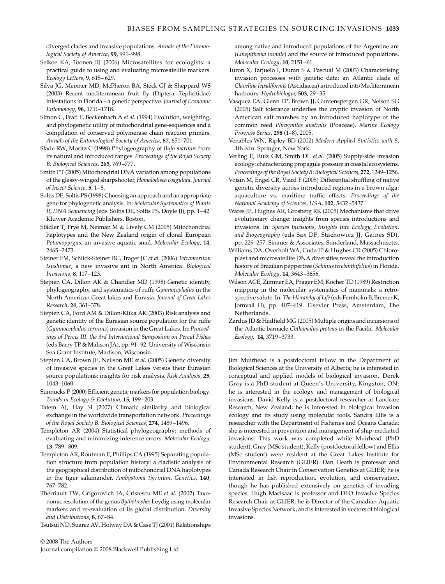diverged clades and invasive populations. *Annals of the Entomological Society of America*, **99**, 991–998.

- Selkoe KA, Toonen RJ (2006) Microsatellites for ecologists: a practical guide to using and evaluating microsatellite markers. *Ecology Letters*, **9**, 615–629.
- Silva JG, Meixner MD, McPheron BA, Steck GJ & Sheppard WS (2003) Recent mediterranean fruit fly (Diptera: Tephritidae) infestations in Florida — a genetic perspective. *Journal of Economic Entomology*, **96**, 1711–1718.
- Simon C, Frati F, Beckenbach A *et al*. (1994) Evolution, weighting, and phylogenetic utility of mitochondrial gene-sequences and a compilation of conserved polymerase chain reaction primers. *Annals of the Entomological Society of America*, **87**, 651–701.
- Slade RW, Moritz C (1998) Phylogeography of *Bufo marinus* from its natural and introduced ranges. *Proceedings of the Royal Society B: Biological Sciences*, **265**, 769–777.
- Smith PT (2005) Mitochondrial DNA variation among populations of the glassy-winged sharpshooter, *Homalodisca coagulata*. *Journal of Insect Science*, **5**, 1–8.
- Soltis DE, Soltis PS (1998) Choosing an approach and an appropriate gene for phylogenetic analysis. In: *Molecular Systematics of Plants II, DNA Sequencing* (eds Soltis DE, Soltis PS, Doyle JJ), pp. 1–42. Kluwer Academic Publishers, Boston.
- Städler T, Frye M, Neiman M & Lively CM (2005) Mitochondrial haplotypes and the New Zealand origin of clonal European *Potamopyrgus*, an invasive aquatic snail. *Molecular Ecology*, **14**, 2465–2473.
- Steiner FM, Schlick-Steiner BC, Trager JC *et al*. (2006) *Tetramorium tsushimae*, a new invasive ant in North America. *Biological Invasions*, **8**, 117–123.
- Stepien CA, Dillon AK & Chandler MD (1998) Genetic identity, phylogeography, and systematics of ruffe *Gymnocephalus* in the North American Great lakes and Eurasia. *Journal of Great Lakes Research*, **24**, 361–378.
- Stepien CA, Ford AM & Dillon-Klika AK (2003) Risk analysis and genetic identity of the Eurasian source population for the ruffe (*Gymnocephalus cernuus*) invasion in the Great Lakes. In: *Proceedings of Percis III, the 3rd International Symposium on Percid Fishes* (eds Barry TP & Malison JA), pp. 91–92. University of Wisconsin Sea Grant Institute, Madison, Wisconsin.
- Stepien CA, Brown JE, Neilson ME *et al*. (2005) Genetic diversity of invasive species in the Great Lakes versus their Eurasian source populations: insights for risk analysis. *Risk Analysis*, **25**, 1043–1060.
- Sunnucks P (2000) Efficient genetic markers for population biology. *Trends in Ecology & Evolution*, **15**, 199–203.
- Tatem AJ, Hay SI (2007) Climatic similarity and biological exchange in the worldwide transportation network. *Proceedings of the Royal Society B: Biological Sciences*, **274**, 1489–1496.
- Templeton AR (2004) Statistical phylogeography: methods of evaluating and minimizing inference errors. *Molecular Ecology*, **13**, 789–809.
- Templeton AR, Routman E, Phillips CA (1995) Separating population structure from population history: a cladistic analysis of the geographical distribution of mitochondrial DNA haplotypes in the tiger salamander, *Ambystoma tigrinum*. *Genetics*, **140**, 767–782.
- Therriault TW, Grigorovich IA, Cristescu ME *et al*. (2002) Taxonomic resolution of the genus *Bythotrephes* Leydig using molecular markers and re-evaluation of its global distribution. *Diversity and Distributions*, **8**, 67–84.

Tsutsui ND, Suarez AV, Holway DA & Case TJ (2001) Relationships

among native and introduced populations of the Argentine ant (*Linepithema humile*) and the source of introduced populations. *Molecular Ecology*, **10**, 2151–61.

- Turon X, Tarjuelo I, Duran S & Pascual M (2003) Characterising invasion processes with genetic data: an Atlantic clade of *Clavelina lepadiformis* (Ascidiacea) introduced into Mediterranean harbours. *Hydrobiologia*, **503**, 29–35.
- Vasquez EA, Glenn EP, Brown JJ, Guntenspergen GR, Nelson SG (2005) Salt tolerance underlies the cryptic invasion of North American salt marshes by an introduced haplotype of the common reed *Phragmites australis* (Poaceae). *Marine Ecology Progress Series*, **298** (1–8), 2005.
- Venables WN, Ripley BD (2002) *Modern Applied Statistics with S*, 4th edn. Springer, New York.
- Verling E, Ruiz GM, Smith DL *et al*. (2005) Supply-side invasion ecology: characterizing propagule pressure in coastal ecosystems. *Proceedings of the Royal Society B*: *Biological Sciences*, **272**, 1249–1256.
- Voisin M, Engel CR, Viard F (2005) Differential shuffling of native genetic diversity across introduced regions in a brown alga: aquaculture vs. maritime traffic effects. *Proceedings of the National Academy of Sciences, USA*, **102**, 5432–5437.
- Wares JP, Hughes AR, Grosberg RK (2005) Mechanisms that drive evolutionary change: insights from species introductions and invasions. In: *Species Invasions, Insights Into Ecology, Evolution, and Biogeography* (eds Sax DF, Stachowicz JJ, Gaines SD), pp. 229–257. Sinauer & Associates, Sunderland, Massachusetts.
- Williams DA, Overholt WA, Cuda JP & Hughes CR (2005) Chloroplast and microsatellite DNA diversities reveal the introduction history of Brazilian peppertree (*Schinus terebinthifolius*) in Florida. *Molecular Ecology*, **14**, 3643–3656.
- Wilson ACE, Zimmer EA, Prager EM, Kocher TD (1989) Restriction mapping in the molecular systematics of mammals: a retrospective salute. In: *The Hierarchy of Life* (eds Fernholm B, Bremer K, Jornvall H), pp. 407–419. Elsevier Press, Amsterdam, The Netherlands.
- Zardus JD & Hadfield MG (2005) Multiple origins and incursions of the Atlantic barnacle *Chthamalus proteus* in the Pacific. *Molecular Ecology*, **14,** 3719–3733.

Jim Muirhead is a postdoctoral fellow in the Department of Biological Sciences at the University of Alberta; he is interested in conceptual and applied models of biological invasion. Derek Gray is a PhD student at Queen's University, Kingston, ON; he is interested in the ecology and management of biological invasions. David Kelly is a postdoctoral researcher at Landcare Research, New Zealand; he is interested in biological invasion ecology and its study using molecular tools. Sandra Ellis is a researcher with the Department of Fisheries and Oceans Canada; she is interested in prevention and management of ship-mediated invasions. This work was completed while Muirhead (PhD student), Gray (MSc student), Kelly (postdoctoral fellow) and Ellis (MSc student) were resident at the Great Lakes Institute for Environmental Research (GLIER). Dan Heath is professor and Canada Research Chair in Conservation Genetics at GLIER; he is interested in fish reproduction, evolution, and conservation, though he has published extensively on genetics of invading species. Hugh Maclsaac is professor and DFO Invasive Species Research Chair at GLIER; he is Director of the Canadian Aquatic Invasive Species Network, and is interested in vectors of biological invasions.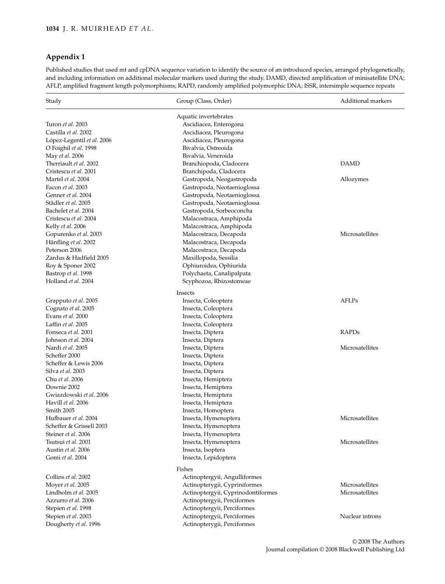## **Appendix 1**

Published studies that used mt and cpDNA sequence variation to identify the source of an introduced species, arranged phylogenetically, and including information on additional molecular markers used during the study. DAMD, directed amplification of minisatellite DNA; AFLP, amplified fragment length polymorphisms; RAPD, randomly amplified polymorphic DNA; ISSR, intersimple sequence repeats

| Study                                        | Group (Class, Order)               | Additional markers |
|----------------------------------------------|------------------------------------|--------------------|
|                                              | Aquatic invertebrates              |                    |
| Turon et al. 2003                            | Ascidiacea, Enterogona             |                    |
| Castilla et al. 2002                         | Ascidiacea, Pleurogona             |                    |
| López-Legentil et al. 2006                   | Ascidiacea, Pleurogona             |                    |
| O Foighil et al. 1998                        | Bivalvia, Ostreoida                |                    |
| May et al. 2006                              | Bivalvia, Veneroida                |                    |
| Therriault et al. 2002                       | Branchiopoda, Cladocera            | <b>DAMD</b>        |
| Cristescu et al. 2001                        | Branchipoda, Cladocera             |                    |
| Martel et al. 2004                           | Gastropoda, Neogastropoda          | Allozymes          |
| Facon et al. 2003                            | Gastropoda, Neotaenioglossa        |                    |
| Genner et al. 2004                           | Gastropoda, Neotaenioglossa        |                    |
| Städler et al. 2005                          | Gastropoda, Neotaenioglossa        |                    |
| Bachelet et al. 2004                         | Gastropoda, Sorbeoconcha           |                    |
| Cristescu et al. 2004                        | Malacostraca, Amphipoda            |                    |
| Kelly et al. 2006                            | Malacostraca, Amphipoda            |                    |
| Gopurenko et al. 2003                        | Malacostraca, Decapoda             | Microsatellites    |
| Hänfling et al. 2002                         | Malacostraca, Decapoda             |                    |
| Peterson 2006                                | Malacostraca, Decapoda             |                    |
| Zardus & Hadfield 2005                       | Maxillopoda, Sessilia              |                    |
| Roy & Sponer 2002                            | Ophiuroidea, Ophiurida             |                    |
| Bastrop et al. 1998                          | Polychaeta, Canalipalpata          |                    |
| Holland et al. 2004                          | Scyphozoa, Rhizostomeae            |                    |
|                                              | Insects                            |                    |
| Grapputo et al. 2005                         | Insecta, Coleoptera                | AFLPs              |
| Cognato et al. 2005                          | Insecta, Coleoptera                |                    |
| Evans et al. 2000                            | Insecta, Coleoptera                |                    |
| Laffin et al. 2005                           | Insecta, Coleoptera                |                    |
| Fonseca et al. 2001                          | Insecta, Diptera                   | RAPDs              |
| Johnson et al. 2004                          | Insecta, Diptera                   |                    |
| Nardi et al. 2005                            | Insecta, Diptera                   | Microsatellites    |
| Scheffer 2000                                | Insecta, Diptera                   |                    |
| Scheffer & Lewis 2006                        | Insecta, Diptera                   |                    |
| Silva et al. 2003                            | Insecta, Diptera                   |                    |
| Chu et al. 2006                              | Insecta, Hemiptera                 |                    |
| Downie 2002                                  | Insecta, Hemiptera                 |                    |
| Gwiazdowski et al. 2006                      | Insecta, Hemiptera                 |                    |
| Havill et al. 2006                           | Insecta, Hemiptera                 |                    |
| Smith 2005                                   | Insecta, Homoptera                 |                    |
| Hufbauer et al. 2004                         | Insecta, Hymenoptera               | Microsatellites    |
| Scheffer & Grissell 2003                     | Insecta, Hymenoptera               |                    |
| Steiner et al. 2006                          | Insecta, Hymenoptera               |                    |
| Tsutsui et al. 2001                          | Insecta, Hymenoptera               | Microsatellites    |
| Austin et al. 2006                           | Insecta, Isoptera                  |                    |
| Gomi et al. 2004                             | Insecta, Lepidoptera               |                    |
|                                              | Fishes                             |                    |
| Collins et al. 2002                          | Actinoptergyii, Angulliformes      |                    |
| Moyer et al. 2005                            | Actinopterygii, Cypriniformes      | Microsatellites    |
| Lindholm et al. 2005                         | Actinoptergyii, Cyprinodontiformes | Microsatellites    |
| Azzurro et al. 2006                          | Actinoptergyii, Perciformes        |                    |
| Stepien et al. 1998                          | Actinoptergyii, Perciformes        |                    |
|                                              | Actinoptergyii, Perciformes        | Nuclear introns    |
| Stepien et al. 2003<br>Dougherty et al. 1996 | Actinopterygii, Perciformes        |                    |
|                                              |                                    |                    |